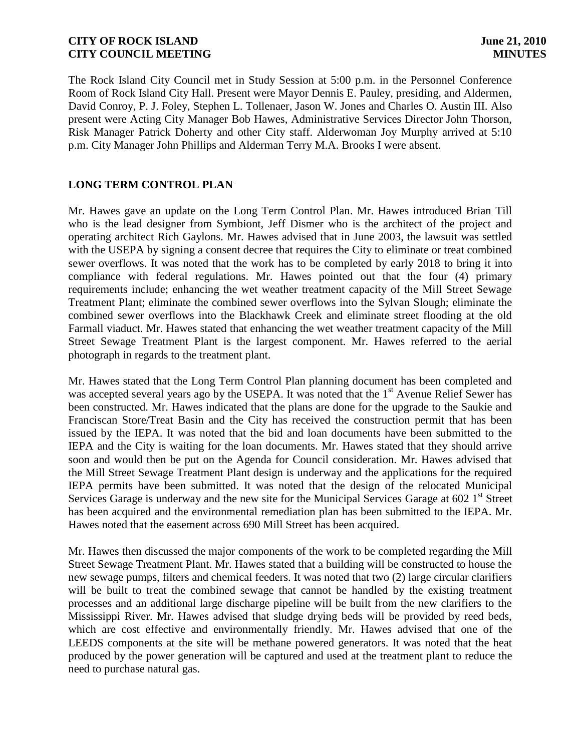The Rock Island City Council met in Study Session at 5:00 p.m. in the Personnel Conference Room of Rock Island City Hall. Present were Mayor Dennis E. Pauley, presiding, and Aldermen, David Conroy, P. J. Foley, Stephen L. Tollenaer, Jason W. Jones and Charles O. Austin III. Also present were Acting City Manager Bob Hawes, Administrative Services Director John Thorson, Risk Manager Patrick Doherty and other City staff. Alderwoman Joy Murphy arrived at 5:10 p.m. City Manager John Phillips and Alderman Terry M.A. Brooks I were absent.

# **LONG TERM CONTROL PLAN**

Mr. Hawes gave an update on the Long Term Control Plan. Mr. Hawes introduced Brian Till who is the lead designer from Symbiont, Jeff Dismer who is the architect of the project and operating architect Rich Gaylons. Mr. Hawes advised that in June 2003, the lawsuit was settled with the USEPA by signing a consent decree that requires the City to eliminate or treat combined sewer overflows. It was noted that the work has to be completed by early 2018 to bring it into compliance with federal regulations. Mr. Hawes pointed out that the four (4) primary requirements include; enhancing the wet weather treatment capacity of the Mill Street Sewage Treatment Plant; eliminate the combined sewer overflows into the Sylvan Slough; eliminate the combined sewer overflows into the Blackhawk Creek and eliminate street flooding at the old Farmall viaduct. Mr. Hawes stated that enhancing the wet weather treatment capacity of the Mill Street Sewage Treatment Plant is the largest component. Mr. Hawes referred to the aerial photograph in regards to the treatment plant.

Mr. Hawes stated that the Long Term Control Plan planning document has been completed and was accepted several years ago by the USEPA. It was noted that the  $1<sup>st</sup>$  Avenue Relief Sewer has been constructed. Mr. Hawes indicated that the plans are done for the upgrade to the Saukie and Franciscan Store/Treat Basin and the City has received the construction permit that has been issued by the IEPA. It was noted that the bid and loan documents have been submitted to the IEPA and the City is waiting for the loan documents. Mr. Hawes stated that they should arrive soon and would then be put on the Agenda for Council consideration. Mr. Hawes advised that the Mill Street Sewage Treatment Plant design is underway and the applications for the required IEPA permits have been submitted. It was noted that the design of the relocated Municipal Services Garage is underway and the new site for the Municipal Services Garage at  $602 \text{ 1}^{\text{st}}$  Street has been acquired and the environmental remediation plan has been submitted to the IEPA. Mr. Hawes noted that the easement across 690 Mill Street has been acquired.

Mr. Hawes then discussed the major components of the work to be completed regarding the Mill Street Sewage Treatment Plant. Mr. Hawes stated that a building will be constructed to house the new sewage pumps, filters and chemical feeders. It was noted that two (2) large circular clarifiers will be built to treat the combined sewage that cannot be handled by the existing treatment processes and an additional large discharge pipeline will be built from the new clarifiers to the Mississippi River. Mr. Hawes advised that sludge drying beds will be provided by reed beds, which are cost effective and environmentally friendly. Mr. Hawes advised that one of the LEEDS components at the site will be methane powered generators. It was noted that the heat produced by the power generation will be captured and used at the treatment plant to reduce the need to purchase natural gas.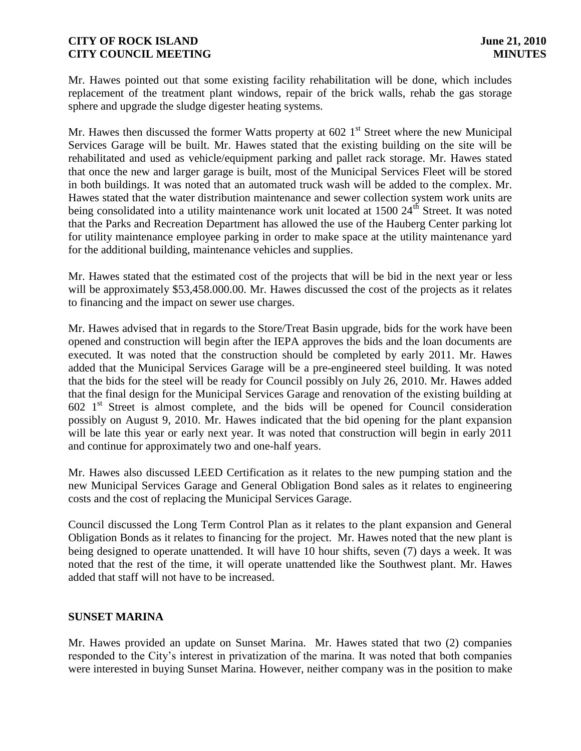Mr. Hawes pointed out that some existing facility rehabilitation will be done, which includes replacement of the treatment plant windows, repair of the brick walls, rehab the gas storage sphere and upgrade the sludge digester heating systems.

Mr. Hawes then discussed the former Watts property at  $602 \, 1<sup>st</sup>$  Street where the new Municipal Services Garage will be built. Mr. Hawes stated that the existing building on the site will be rehabilitated and used as vehicle/equipment parking and pallet rack storage. Mr. Hawes stated that once the new and larger garage is built, most of the Municipal Services Fleet will be stored in both buildings. It was noted that an automated truck wash will be added to the complex. Mr. Hawes stated that the water distribution maintenance and sewer collection system work units are being consolidated into a utility maintenance work unit located at 1500 24<sup>th</sup> Street. It was noted that the Parks and Recreation Department has allowed the use of the Hauberg Center parking lot for utility maintenance employee parking in order to make space at the utility maintenance yard for the additional building, maintenance vehicles and supplies.

Mr. Hawes stated that the estimated cost of the projects that will be bid in the next year or less will be approximately \$53,458,000.00. Mr. Hawes discussed the cost of the projects as it relates to financing and the impact on sewer use charges.

Mr. Hawes advised that in regards to the Store/Treat Basin upgrade, bids for the work have been opened and construction will begin after the IEPA approves the bids and the loan documents are executed. It was noted that the construction should be completed by early 2011. Mr. Hawes added that the Municipal Services Garage will be a pre-engineered steel building. It was noted that the bids for the steel will be ready for Council possibly on July 26, 2010. Mr. Hawes added that the final design for the Municipal Services Garage and renovation of the existing building at  $602 \text{ } 1^{\text{st}}$  Street is almost complete, and the bids will be opened for Council consideration possibly on August 9, 2010. Mr. Hawes indicated that the bid opening for the plant expansion will be late this year or early next year. It was noted that construction will begin in early 2011 and continue for approximately two and one-half years.

Mr. Hawes also discussed LEED Certification as it relates to the new pumping station and the new Municipal Services Garage and General Obligation Bond sales as it relates to engineering costs and the cost of replacing the Municipal Services Garage.

Council discussed the Long Term Control Plan as it relates to the plant expansion and General Obligation Bonds as it relates to financing for the project. Mr. Hawes noted that the new plant is being designed to operate unattended. It will have 10 hour shifts, seven (7) days a week. It was noted that the rest of the time, it will operate unattended like the Southwest plant. Mr. Hawes added that staff will not have to be increased.

# **SUNSET MARINA**

Mr. Hawes provided an update on Sunset Marina. Mr. Hawes stated that two (2) companies responded to the City's interest in privatization of the marina. It was noted that both companies were interested in buying Sunset Marina. However, neither company was in the position to make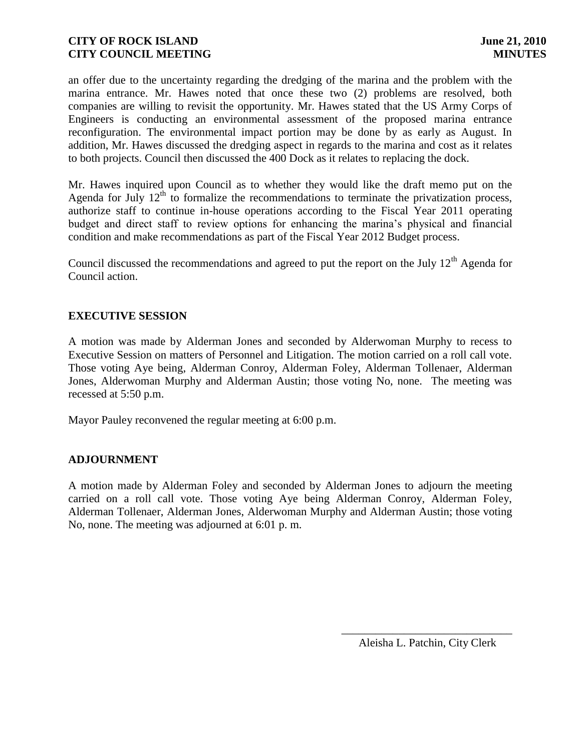an offer due to the uncertainty regarding the dredging of the marina and the problem with the marina entrance. Mr. Hawes noted that once these two (2) problems are resolved, both companies are willing to revisit the opportunity. Mr. Hawes stated that the US Army Corps of Engineers is conducting an environmental assessment of the proposed marina entrance reconfiguration. The environmental impact portion may be done by as early as August. In addition, Mr. Hawes discussed the dredging aspect in regards to the marina and cost as it relates to both projects. Council then discussed the 400 Dock as it relates to replacing the dock.

Mr. Hawes inquired upon Council as to whether they would like the draft memo put on the Agenda for July  $12<sup>th</sup>$  to formalize the recommendations to terminate the privatization process, authorize staff to continue in-house operations according to the Fiscal Year 2011 operating budget and direct staff to review options for enhancing the marina's physical and financial condition and make recommendations as part of the Fiscal Year 2012 Budget process.

Council discussed the recommendations and agreed to put the report on the July  $12<sup>th</sup>$  Agenda for Council action.

# **EXECUTIVE SESSION**

A motion was made by Alderman Jones and seconded by Alderwoman Murphy to recess to Executive Session on matters of Personnel and Litigation. The motion carried on a roll call vote. Those voting Aye being, Alderman Conroy, Alderman Foley, Alderman Tollenaer, Alderman Jones, Alderwoman Murphy and Alderman Austin; those voting No, none. The meeting was recessed at 5:50 p.m.

Mayor Pauley reconvened the regular meeting at 6:00 p.m.

# **ADJOURNMENT**

A motion made by Alderman Foley and seconded by Alderman Jones to adjourn the meeting carried on a roll call vote. Those voting Aye being Alderman Conroy, Alderman Foley, Alderman Tollenaer, Alderman Jones, Alderwoman Murphy and Alderman Austin; those voting No, none. The meeting was adjourned at 6:01 p. m.

\_\_\_\_\_\_\_\_\_\_\_\_\_\_\_\_\_\_\_\_\_\_\_\_\_\_\_\_\_\_ Aleisha L. Patchin, City Clerk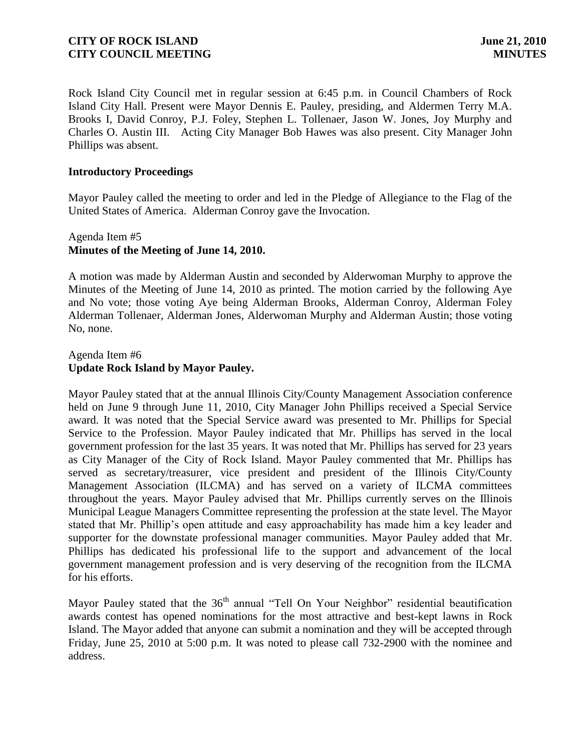Rock Island City Council met in regular session at 6:45 p.m. in Council Chambers of Rock Island City Hall. Present were Mayor Dennis E. Pauley, presiding, and Aldermen Terry M.A. Brooks I, David Conroy, P.J. Foley, Stephen L. Tollenaer, Jason W. Jones, Joy Murphy and Charles O. Austin III. Acting City Manager Bob Hawes was also present. City Manager John Phillips was absent.

### **Introductory Proceedings**

Mayor Pauley called the meeting to order and led in the Pledge of Allegiance to the Flag of the United States of America. Alderman Conroy gave the Invocation.

### Agenda Item #5 **Minutes of the Meeting of June 14, 2010.**

A motion was made by Alderman Austin and seconded by Alderwoman Murphy to approve the Minutes of the Meeting of June 14, 2010 as printed. The motion carried by the following Aye and No vote; those voting Aye being Alderman Brooks, Alderman Conroy, Alderman Foley Alderman Tollenaer, Alderman Jones, Alderwoman Murphy and Alderman Austin; those voting No, none.

### Agenda Item #6 **Update Rock Island by Mayor Pauley.**

Mayor Pauley stated that at the annual Illinois City/County Management Association conference held on June 9 through June 11, 2010, City Manager John Phillips received a Special Service award. It was noted that the Special Service award was presented to Mr. Phillips for Special Service to the Profession. Mayor Pauley indicated that Mr. Phillips has served in the local government profession for the last 35 years. It was noted that Mr. Phillips has served for 23 years as City Manager of the City of Rock Island. Mayor Pauley commented that Mr. Phillips has served as secretary/treasurer, vice president and president of the Illinois City/County Management Association (ILCMA) and has served on a variety of ILCMA committees throughout the years. Mayor Pauley advised that Mr. Phillips currently serves on the Illinois Municipal League Managers Committee representing the profession at the state level. The Mayor stated that Mr. Phillip's open attitude and easy approachability has made him a key leader and supporter for the downstate professional manager communities. Mayor Pauley added that Mr. Phillips has dedicated his professional life to the support and advancement of the local government management profession and is very deserving of the recognition from the ILCMA for his efforts.

Mayor Pauley stated that the 36<sup>th</sup> annual "Tell On Your Neighbor" residential beautification awards contest has opened nominations for the most attractive and best-kept lawns in Rock Island. The Mayor added that anyone can submit a nomination and they will be accepted through Friday, June 25, 2010 at 5:00 p.m. It was noted to please call 732-2900 with the nominee and address.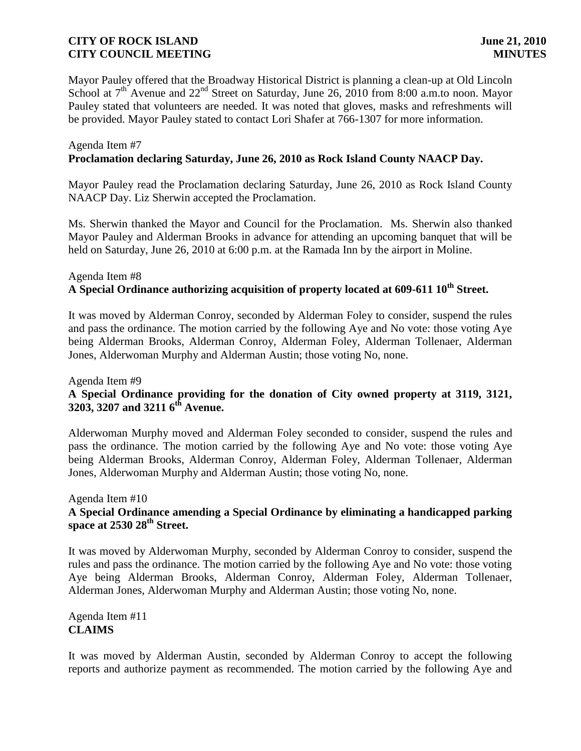Mayor Pauley offered that the Broadway Historical District is planning a clean-up at Old Lincoln School at  $7<sup>th</sup>$  Avenue and  $22<sup>nd</sup>$  Street on Saturday, June 26, 2010 from 8:00 a.m.to noon. Mayor Pauley stated that volunteers are needed. It was noted that gloves, masks and refreshments will be provided. Mayor Pauley stated to contact Lori Shafer at 766-1307 for more information.

#### Agenda Item #7 **Proclamation declaring Saturday, June 26, 2010 as Rock Island County NAACP Day.**

Mayor Pauley read the Proclamation declaring Saturday, June 26, 2010 as Rock Island County NAACP Day. Liz Sherwin accepted the Proclamation.

Ms. Sherwin thanked the Mayor and Council for the Proclamation. Ms. Sherwin also thanked Mayor Pauley and Alderman Brooks in advance for attending an upcoming banquet that will be held on Saturday, June 26, 2010 at 6:00 p.m. at the Ramada Inn by the airport in Moline.

# Agenda Item #8 **A Special Ordinance authorizing acquisition of property located at 609-611 10th Street.**

It was moved by Alderman Conroy, seconded by Alderman Foley to consider, suspend the rules and pass the ordinance. The motion carried by the following Aye and No vote: those voting Aye being Alderman Brooks, Alderman Conroy, Alderman Foley, Alderman Tollenaer, Alderman Jones, Alderwoman Murphy and Alderman Austin; those voting No, none.

# Agenda Item #9 **A Special Ordinance providing for the donation of City owned property at 3119, 3121, 3203, 3207 and 3211 6 th Avenue.**

Alderwoman Murphy moved and Alderman Foley seconded to consider, suspend the rules and pass the ordinance. The motion carried by the following Aye and No vote: those voting Aye being Alderman Brooks, Alderman Conroy, Alderman Foley, Alderman Tollenaer, Alderman Jones, Alderwoman Murphy and Alderman Austin; those voting No, none.

## Agenda Item #10 **A Special Ordinance amending a Special Ordinance by eliminating a handicapped parking space at 2530 28th Street.**

It was moved by Alderwoman Murphy, seconded by Alderman Conroy to consider, suspend the rules and pass the ordinance. The motion carried by the following Aye and No vote: those voting Aye being Alderman Brooks, Alderman Conroy, Alderman Foley, Alderman Tollenaer, Alderman Jones, Alderwoman Murphy and Alderman Austin; those voting No, none.

Agenda Item #11 **CLAIMS**

It was moved by Alderman Austin, seconded by Alderman Conroy to accept the following reports and authorize payment as recommended. The motion carried by the following Aye and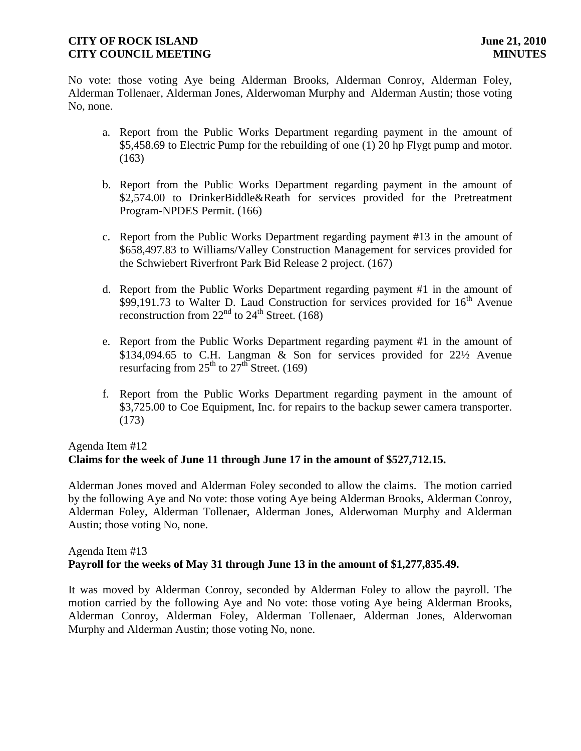No vote: those voting Aye being Alderman Brooks, Alderman Conroy, Alderman Foley, Alderman Tollenaer, Alderman Jones, Alderwoman Murphy and Alderman Austin; those voting No, none.

- a. Report from the Public Works Department regarding payment in the amount of \$5,458.69 to Electric Pump for the rebuilding of one (1) 20 hp Flygt pump and motor.  $(163)$
- b. Report from the Public Works Department regarding payment in the amount of \$2,574.00 to DrinkerBiddle&Reath for services provided for the Pretreatment Program-NPDES Permit. (166)
- c. Report from the Public Works Department regarding payment #13 in the amount of \$658,497.83 to Williams/Valley Construction Management for services provided for the Schwiebert Riverfront Park Bid Release 2 project. (167)
- d. Report from the Public Works Department regarding payment #1 in the amount of \$99,191.73 to Walter D. Laud Construction for services provided for  $16<sup>th</sup>$  Avenue reconstruction from  $22<sup>nd</sup>$  to  $24<sup>th</sup>$  Street. (168)
- e. Report from the Public Works Department regarding payment #1 in the amount of \$134,094.65 to C.H. Langman & Son for services provided for 22½ Avenue resurfacing from  $25<sup>th</sup>$  to  $27<sup>th</sup>$  Street. (169)
- f. Report from the Public Works Department regarding payment in the amount of \$3,725.00 to Coe Equipment, Inc. for repairs to the backup sewer camera transporter. (173)

# Agenda Item #12 **Claims for the week of June 11 through June 17 in the amount of \$527,712.15.**

Alderman Jones moved and Alderman Foley seconded to allow the claims. The motion carried by the following Aye and No vote: those voting Aye being Alderman Brooks, Alderman Conroy, Alderman Foley, Alderman Tollenaer, Alderman Jones, Alderwoman Murphy and Alderman Austin; those voting No, none.

# Agenda Item #13 **Payroll for the weeks of May 31 through June 13 in the amount of \$1,277,835.49.**

It was moved by Alderman Conroy, seconded by Alderman Foley to allow the payroll. The motion carried by the following Aye and No vote: those voting Aye being Alderman Brooks, Alderman Conroy, Alderman Foley, Alderman Tollenaer, Alderman Jones, Alderwoman Murphy and Alderman Austin; those voting No, none.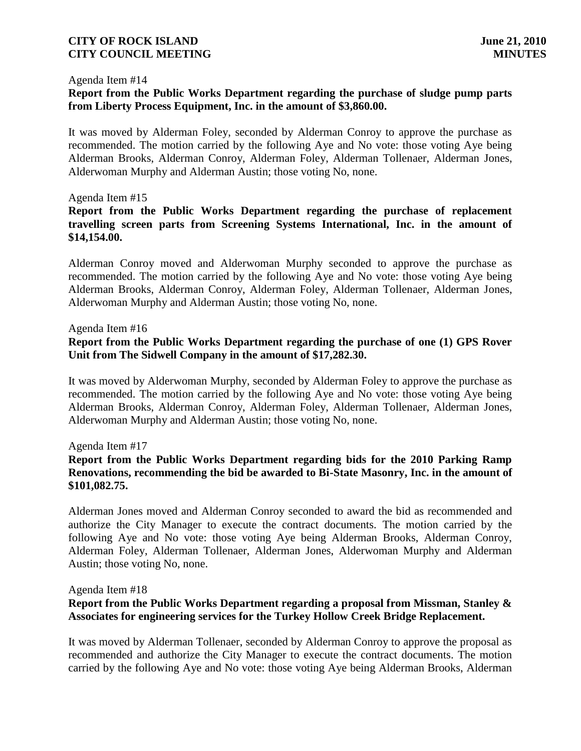#### Agenda Item #14

# **Report from the Public Works Department regarding the purchase of sludge pump parts from Liberty Process Equipment, Inc. in the amount of \$3,860.00.**

It was moved by Alderman Foley, seconded by Alderman Conroy to approve the purchase as recommended. The motion carried by the following Aye and No vote: those voting Aye being Alderman Brooks, Alderman Conroy, Alderman Foley, Alderman Tollenaer, Alderman Jones, Alderwoman Murphy and Alderman Austin; those voting No, none.

#### Agenda Item #15

# **Report from the Public Works Department regarding the purchase of replacement travelling screen parts from Screening Systems International, Inc. in the amount of \$14,154.00.**

Alderman Conroy moved and Alderwoman Murphy seconded to approve the purchase as recommended. The motion carried by the following Aye and No vote: those voting Aye being Alderman Brooks, Alderman Conroy, Alderman Foley, Alderman Tollenaer, Alderman Jones, Alderwoman Murphy and Alderman Austin; those voting No, none.

#### Agenda Item #16

# **Report from the Public Works Department regarding the purchase of one (1) GPS Rover Unit from The Sidwell Company in the amount of \$17,282.30.**

It was moved by Alderwoman Murphy, seconded by Alderman Foley to approve the purchase as recommended. The motion carried by the following Aye and No vote: those voting Aye being Alderman Brooks, Alderman Conroy, Alderman Foley, Alderman Tollenaer, Alderman Jones, Alderwoman Murphy and Alderman Austin; those voting No, none.

#### Agenda Item #17

# **Report from the Public Works Department regarding bids for the 2010 Parking Ramp Renovations, recommending the bid be awarded to Bi-State Masonry, Inc. in the amount of \$101,082.75.**

Alderman Jones moved and Alderman Conroy seconded to award the bid as recommended and authorize the City Manager to execute the contract documents. The motion carried by the following Aye and No vote: those voting Aye being Alderman Brooks, Alderman Conroy, Alderman Foley, Alderman Tollenaer, Alderman Jones, Alderwoman Murphy and Alderman Austin; those voting No, none.

#### Agenda Item #18

# **Report from the Public Works Department regarding a proposal from Missman, Stanley & Associates for engineering services for the Turkey Hollow Creek Bridge Replacement.**

It was moved by Alderman Tollenaer, seconded by Alderman Conroy to approve the proposal as recommended and authorize the City Manager to execute the contract documents. The motion carried by the following Aye and No vote: those voting Aye being Alderman Brooks, Alderman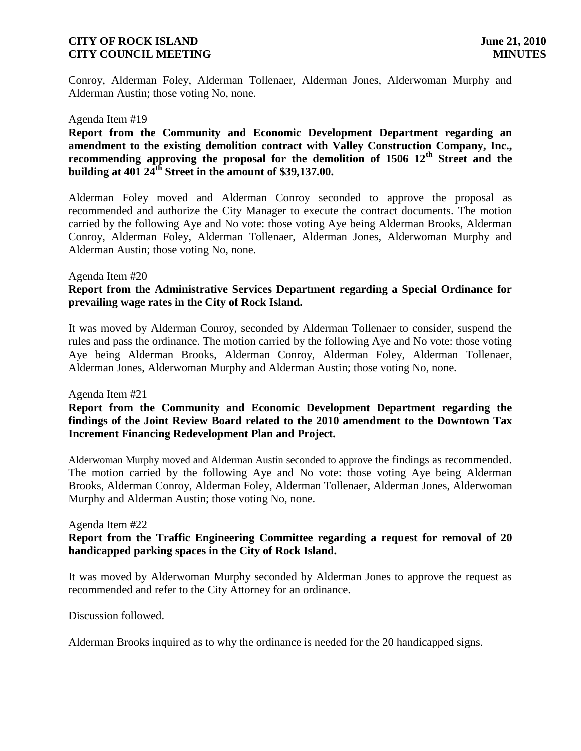Conroy, Alderman Foley, Alderman Tollenaer, Alderman Jones, Alderwoman Murphy and Alderman Austin; those voting No, none.

#### Agenda Item #19

**Report from the Community and Economic Development Department regarding an amendment to the existing demolition contract with Valley Construction Company, Inc., recommending approving the proposal for the demolition of 1506 12th Street and the building at 401 24th Street in the amount of \$39,137.00.** 

Alderman Foley moved and Alderman Conroy seconded to approve the proposal as recommended and authorize the City Manager to execute the contract documents. The motion carried by the following Aye and No vote: those voting Aye being Alderman Brooks, Alderman Conroy, Alderman Foley, Alderman Tollenaer, Alderman Jones, Alderwoman Murphy and Alderman Austin; those voting No, none.

#### Agenda Item #20

# **Report from the Administrative Services Department regarding a Special Ordinance for prevailing wage rates in the City of Rock Island.**

It was moved by Alderman Conroy, seconded by Alderman Tollenaer to consider, suspend the rules and pass the ordinance. The motion carried by the following Aye and No vote: those voting Aye being Alderman Brooks, Alderman Conroy, Alderman Foley, Alderman Tollenaer, Alderman Jones, Alderwoman Murphy and Alderman Austin; those voting No, none.

#### Agenda Item #21

### **Report from the Community and Economic Development Department regarding the findings of the Joint Review Board related to the 2010 amendment to the Downtown Tax Increment Financing Redevelopment Plan and Project.**

Alderwoman Murphy moved and Alderman Austin seconded to approve the findings as recommended. The motion carried by the following Aye and No vote: those voting Aye being Alderman Brooks, Alderman Conroy, Alderman Foley, Alderman Tollenaer, Alderman Jones, Alderwoman Murphy and Alderman Austin; those voting No, none.

#### Agenda Item #22

### **Report from the Traffic Engineering Committee regarding a request for removal of 20 handicapped parking spaces in the City of Rock Island.**

It was moved by Alderwoman Murphy seconded by Alderman Jones to approve the request as recommended and refer to the City Attorney for an ordinance.

Discussion followed.

Alderman Brooks inquired as to why the ordinance is needed for the 20 handicapped signs.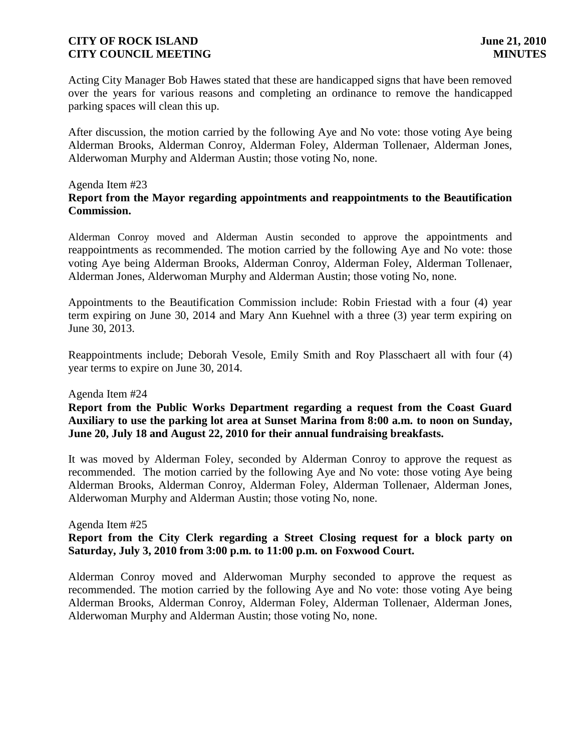Acting City Manager Bob Hawes stated that these are handicapped signs that have been removed over the years for various reasons and completing an ordinance to remove the handicapped parking spaces will clean this up.

After discussion, the motion carried by the following Aye and No vote: those voting Aye being Alderman Brooks, Alderman Conroy, Alderman Foley, Alderman Tollenaer, Alderman Jones, Alderwoman Murphy and Alderman Austin; those voting No, none.

#### Agenda Item #23 **Report from the Mayor regarding appointments and reappointments to the Beautification Commission.**

Alderman Conroy moved and Alderman Austin seconded to approve the appointments and reappointments as recommended. The motion carried by the following Aye and No vote: those voting Aye being Alderman Brooks, Alderman Conroy, Alderman Foley, Alderman Tollenaer, Alderman Jones, Alderwoman Murphy and Alderman Austin; those voting No, none.

Appointments to the Beautification Commission include: Robin Friestad with a four (4) year term expiring on June 30, 2014 and Mary Ann Kuehnel with a three (3) year term expiring on June 30, 2013.

Reappointments include; Deborah Vesole, Emily Smith and Roy Plasschaert all with four (4) year terms to expire on June 30, 2014.

### Agenda Item #24

# **Report from the Public Works Department regarding a request from the Coast Guard Auxiliary to use the parking lot area at Sunset Marina from 8:00 a.m. to noon on Sunday, June 20, July 18 and August 22, 2010 for their annual fundraising breakfasts.**

It was moved by Alderman Foley, seconded by Alderman Conroy to approve the request as recommended. The motion carried by the following Aye and No vote: those voting Aye being Alderman Brooks, Alderman Conroy, Alderman Foley, Alderman Tollenaer, Alderman Jones, Alderwoman Murphy and Alderman Austin; those voting No, none.

Agenda Item #25

**Report from the City Clerk regarding a Street Closing request for a block party on Saturday, July 3, 2010 from 3:00 p.m. to 11:00 p.m. on Foxwood Court.**

Alderman Conroy moved and Alderwoman Murphy seconded to approve the request as recommended. The motion carried by the following Aye and No vote: those voting Aye being Alderman Brooks, Alderman Conroy, Alderman Foley, Alderman Tollenaer, Alderman Jones, Alderwoman Murphy and Alderman Austin; those voting No, none.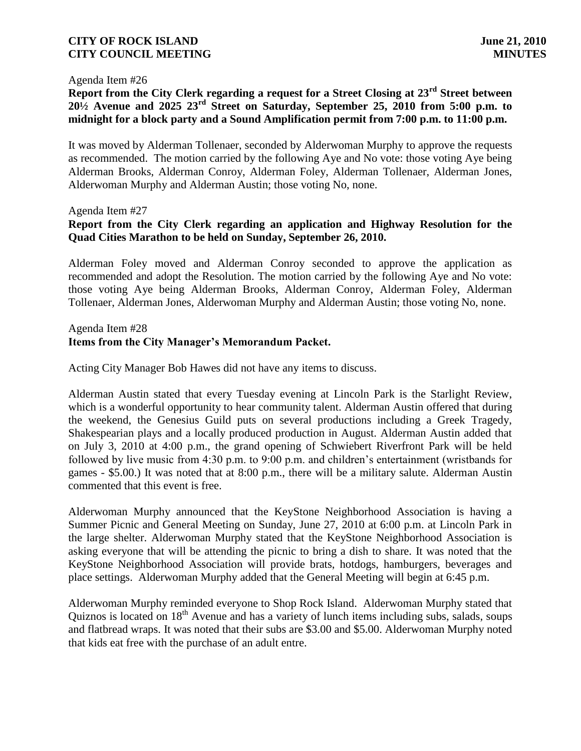#### Agenda Item #26

**Report from the City Clerk regarding a request for a Street Closing at 23rd Street between 20½ Avenue and 2025 23rd Street on Saturday, September 25, 2010 from 5:00 p.m. to midnight for a block party and a Sound Amplification permit from 7:00 p.m. to 11:00 p.m.**

It was moved by Alderman Tollenaer, seconded by Alderwoman Murphy to approve the requests as recommended. The motion carried by the following Aye and No vote: those voting Aye being Alderman Brooks, Alderman Conroy, Alderman Foley, Alderman Tollenaer, Alderman Jones, Alderwoman Murphy and Alderman Austin; those voting No, none.

#### Agenda Item #27

# **Report from the City Clerk regarding an application and Highway Resolution for the Quad Cities Marathon to be held on Sunday, September 26, 2010.**

Alderman Foley moved and Alderman Conroy seconded to approve the application as recommended and adopt the Resolution. The motion carried by the following Aye and No vote: those voting Aye being Alderman Brooks, Alderman Conroy, Alderman Foley, Alderman Tollenaer, Alderman Jones, Alderwoman Murphy and Alderman Austin; those voting No, none.

## Agenda Item #28 **Items from the City Manager's Memorandum Packet.**

Acting City Manager Bob Hawes did not have any items to discuss.

Alderman Austin stated that every Tuesday evening at Lincoln Park is the Starlight Review, which is a wonderful opportunity to hear community talent. Alderman Austin offered that during the weekend, the Genesius Guild puts on several productions including a Greek Tragedy, Shakespearian plays and a locally produced production in August. Alderman Austin added that on July 3, 2010 at 4:00 p.m., the grand opening of Schwiebert Riverfront Park will be held followed by live music from 4:30 p.m. to 9:00 p.m. and children's entertainment (wristbands for games - \$5.00.) It was noted that at 8:00 p.m., there will be a military salute. Alderman Austin commented that this event is free.

Alderwoman Murphy announced that the KeyStone Neighborhood Association is having a Summer Picnic and General Meeting on Sunday, June 27, 2010 at 6:00 p.m. at Lincoln Park in the large shelter. Alderwoman Murphy stated that the KeyStone Neighborhood Association is asking everyone that will be attending the picnic to bring a dish to share. It was noted that the KeyStone Neighborhood Association will provide brats, hotdogs, hamburgers, beverages and place settings. Alderwoman Murphy added that the General Meeting will begin at 6:45 p.m.

Alderwoman Murphy reminded everyone to Shop Rock Island. Alderwoman Murphy stated that Quiznos is located on 18th Avenue and has a variety of lunch items including subs, salads, soups and flatbread wraps. It was noted that their subs are \$3.00 and \$5.00. Alderwoman Murphy noted that kids eat free with the purchase of an adult entre.